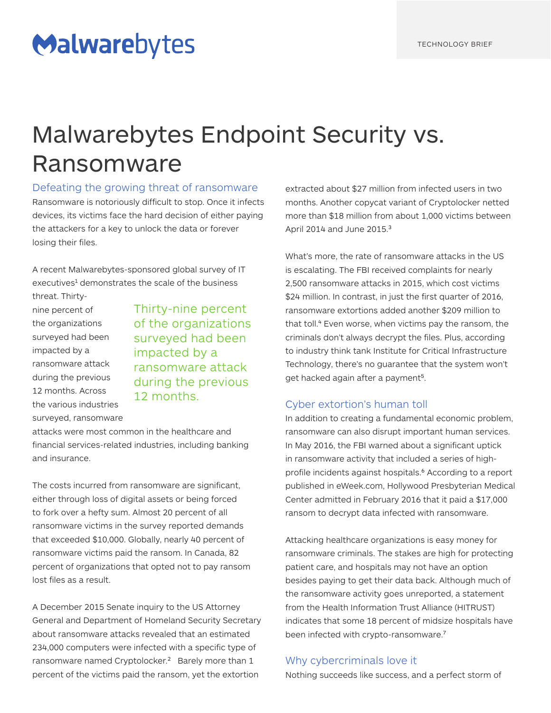# Malwarebytes

# Malwarebytes Endpoint Security vs. Ransomware

Defeating the growing threat of ransomware

Ransomware is notoriously difficult to stop. Once it infects devices, its victims face the hard decision of either paying the attackers for a key to unlock the data or forever losing their files.

A recent Malwarebytes-sponsored global survey of IT executives<sup>1</sup> demonstrates the scale of the business

threat. Thirtynine percent of the organizations surveyed had been impacted by a ransomware attack during the previous 12 months. Across the various industries surveyed, ransomware

Thirty-nine percent of the organizations surveyed had been impacted by a ransomware attack during the previous 12 months.

attacks were most common in the healthcare and financial services-related industries, including banking and insurance.

The costs incurred from ransomware are significant, either through loss of digital assets or being forced to fork over a hefty sum. Almost 20 percent of all ransomware victims in the survey reported demands that exceeded \$10,000. Globally, nearly 40 percent of ransomware victims paid the ransom. In Canada, 82 percent of organizations that opted not to pay ransom lost files as a result.

A December 2015 Senate inquiry to the US Attorney General and Department of Homeland Security Secretary about ransomware attacks revealed that an estimated 234,000 computers were infected with a specific type of ransomware named Cryptolocker.² Barely more than 1 percent of the victims paid the ransom, yet the extortion

extracted about \$27 million from infected users in two months. Another copycat variant of Cryptolocker netted more than \$18 million from about 1,000 victims between April 2014 and June 2015.<sup>3</sup>

What's more, the rate of ransomware attacks in the US is escalating. The FBI received complaints for nearly 2,500 ransomware attacks in 2015, which cost victims \$24 million. In contrast, in just the first quarter of 2016, ransomware extortions added another \$209 million to that toll.<sup>4</sup> Even worse, when victims pay the ransom, the criminals don't always decrypt the files. Plus, according to industry think tank Institute for Critical Infrastructure Technology, there's no guarantee that the system won't get hacked again after a payment<sup>5</sup>.

#### Cyber extortion's human toll

In addition to creating a fundamental economic problem, ransomware can also disrupt important human services. In May 2016, the FBI warned about a significant uptick in ransomware activity that included a series of highprofile incidents against hospitals.<sup>6</sup> According to a report published in eWeek.com, Hollywood Presbyterian Medical Center admitted in February 2016 that it paid a \$17,000 ransom to decrypt data infected with ransomware.

Attacking healthcare organizations is easy money for ransomware criminals. The stakes are high for protecting patient care, and hospitals may not have an option besides paying to get their data back. Although much of the ransomware activity goes unreported, a statement from the Health Information Trust Alliance (HITRUST) indicates that some 18 percent of midsize hospitals have been infected with crypto-ransomware.<sup>7</sup>

#### Why cybercriminals love it

Nothing succeeds like success, and a perfect storm of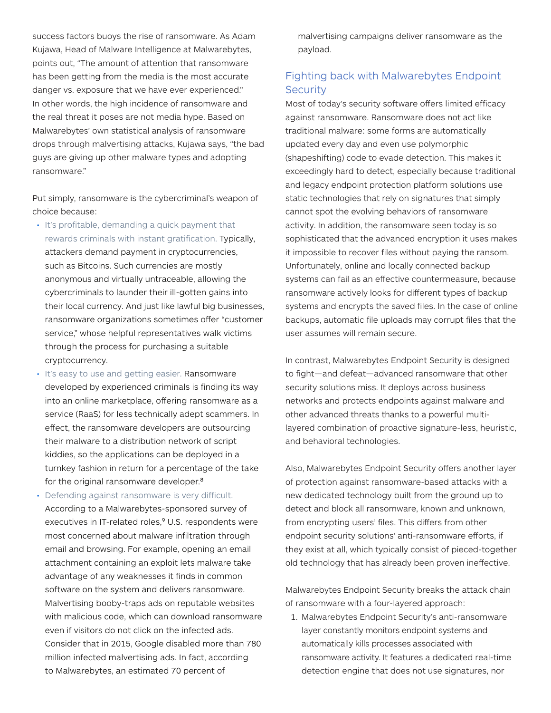success factors buoys the rise of ransomware. As Adam Kujawa, Head of Malware Intelligence at Malwarebytes, points out, "The amount of attention that ransomware has been getting from the media is the most accurate danger vs. exposure that we have ever experienced." In other words, the high incidence of ransomware and the real threat it poses are not media hype. Based on Malwarebytes' own statistical analysis of ransomware drops through malvertising attacks, Kujawa says, "the bad guys are giving up other malware types and adopting ransomware."

Put simply, ransomware is the cybercriminal's weapon of choice because:

- It's profitable, demanding a quick payment that rewards criminals with instant gratification. Typically, attackers demand payment in cryptocurrencies, such as Bitcoins. Such currencies are mostly anonymous and virtually untraceable, allowing the cybercriminals to launder their ill-gotten gains into their local currency. And just like lawful big businesses, ransomware organizations sometimes offer "customer service," whose helpful representatives walk victims through the process for purchasing a suitable cryptocurrency.
- It's easy to use and getting easier. Ransomware developed by experienced criminals is finding its way into an online marketplace, offering ransomware as a service (RaaS) for less technically adept scammers. In effect, the ransomware developers are outsourcing their malware to a distribution network of script kiddies, so the applications can be deployed in a turnkey fashion in return for a percentage of the take for the original ransomware developer.<sup>8</sup>
- Defending against ransomware is very difficult. According to a Malwarebytes-sponsored survey of executives in IT-related roles,<sup>9</sup> U.S. respondents were most concerned about malware infiltration through email and browsing. For example, opening an email attachment containing an exploit lets malware take advantage of any weaknesses it finds in common software on the system and delivers ransomware. Malvertising booby-traps ads on reputable websites with malicious code, which can download ransomware even if visitors do not click on the infected ads. Consider that in 2015, Google disabled more than 780 million infected malvertising ads. In fact, according to Malwarebytes, an estimated 70 percent of

malvertising campaigns deliver ransomware as the payload.

### Fighting back with Malwarebytes Endpoint **Security**

Most of today's security software offers limited efficacy against ransomware. Ransomware does not act like traditional malware: some forms are automatically updated every day and even use polymorphic (shapeshifting) code to evade detection. This makes it exceedingly hard to detect, especially because traditional and legacy endpoint protection platform solutions use static technologies that rely on signatures that simply cannot spot the evolving behaviors of ransomware activity. In addition, the ransomware seen today is so sophisticated that the advanced encryption it uses makes it impossible to recover files without paying the ransom. Unfortunately, online and locally connected backup systems can fail as an effective countermeasure, because ransomware actively looks for different types of backup systems and encrypts the saved files. In the case of online backups, automatic file uploads may corrupt files that the user assumes will remain secure.

In contrast, Malwarebytes Endpoint Security is designed to fight—and defeat—advanced ransomware that other security solutions miss. It deploys across business networks and protects endpoints against malware and other advanced threats thanks to a powerful multilayered combination of proactive signature-less, heuristic, and behavioral technologies.

Also, Malwarebytes Endpoint Security offers another layer of protection against ransomware-based attacks with a new dedicated technology built from the ground up to detect and block all ransomware, known and unknown, from encrypting users' files. This differs from other endpoint security solutions' anti-ransomware efforts, if they exist at all, which typically consist of pieced-together old technology that has already been proven ineffective.

Malwarebytes Endpoint Security breaks the attack chain of ransomware with a four-layered approach:

1. Malwarebytes Endpoint Security's anti-ransomware layer constantly monitors endpoint systems and automatically kills processes associated with ransomware activity. It features a dedicated real-time detection engine that does not use signatures, nor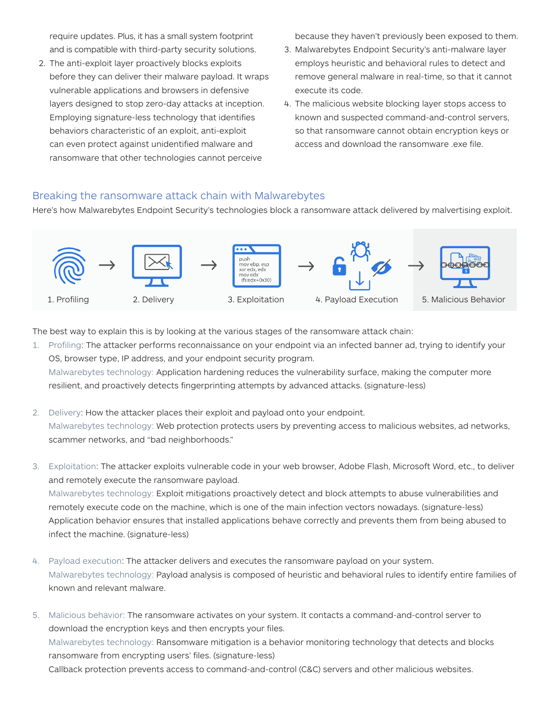require updates. Plus, it has a small system footprint and is compatible with third-party security solutions.

2. The anti-exploit layer proactively blocks exploits before they can deliver their malware payload. It wraps vulnerable applications and browsers in defensive layers designed to stop zero-day attacks at inception. Employing signature-less technology that identifies behaviors characteristic of an exploit, anti-exploit can even protect against unidentified malware and ransomware that other technologies cannot perceive

because they haven't previously been exposed to them.

- 3. Malwarebytes Endpoint Security's anti-malware layer employs heuristic and behavioral rules to detect and remove general malware in real-time, so that it cannot execute its code.
- 4. The malicious website blocking layer stops access to known and suspected command-and-control servers, so that ransomware cannot obtain encryption keys or access and download the ransomware .exe file.

#### Breaking the ransomware attack chain with Malwarebytes

Here's how Malwarebytes Endpoint Security's technologies block a ransomware attack delivered by malvertising exploit.



The best way to explain this is by looking at the various stages of the ransomware attack chain:

- 1. Profiling: The attacker performs reconnaissance on your endpoint via an infected banner ad, trying to identify your OS, browser type, IP address, and your endpoint security program. Malwarebytes technology: Application hardening reduces the vulnerability surface, making the computer more resilient, and proactively detects fingerprinting attempts by advanced attacks. (signature-less)
- 2. Delivery: How the attacker places their exploit and payload onto your endpoint. Malwarebytes technology: Web protection protects users by preventing access to malicious websites, ad networks, scammer networks, and "bad neighborhoods."
- 3. Exploitation: The attacker exploits vulnerable code in your web browser, Adobe Flash, Microsoft Word, etc., to deliver and remotely execute the ransomware payload. Malwarebytes technology: Exploit mitigations proactively detect and block attempts to abuse vulnerabilities and remotely execute code on the machine, which is one of the main infection vectors nowadays. (signature-less) Application behavior ensures that installed applications behave correctly and prevents them from being abused to infect the machine. (signature-less)
- 4. Payload execution: The attacker delivers and executes the ransomware payload on your system. Malwarebytes technology: Payload analysis is composed of heuristic and behavioral rules to identify entire families of known and relevant malware.
- 5. Malicious behavior: The ransomware activates on your system. It contacts a command-and-control server to download the encryption keys and then encrypts your files. Malwarebytes technology: Ransomware mitigation is a behavior monitoring technology that detects and blocks ransomware from encrypting users' files. (signature-less) Callback protection prevents access to command-and-control (C&C) servers and other malicious websites.